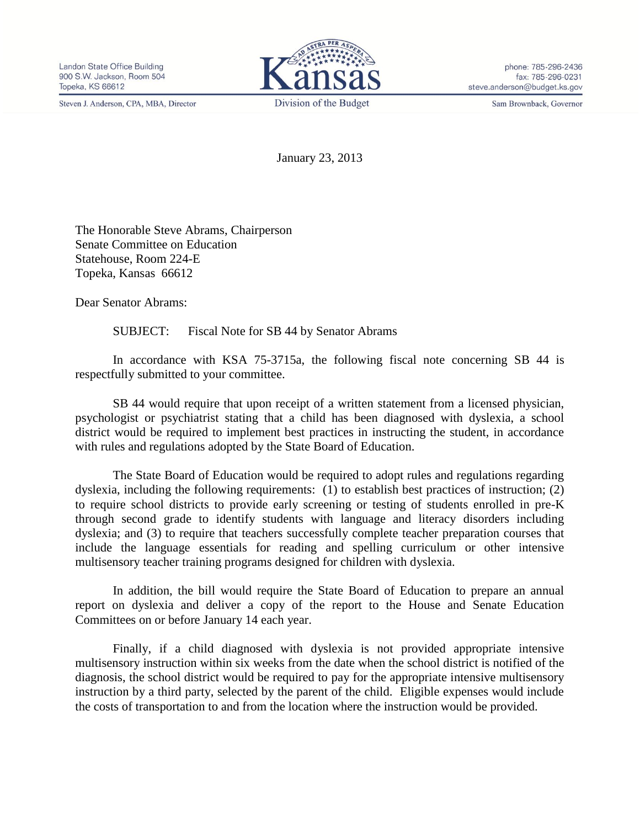Steven J. Anderson, CPA, MBA, Director



phone: 785-296-2436 fax: 785-296-0231 steve.anderson@budget.ks.gov

Sam Brownback, Governor

January 23, 2013

The Honorable Steve Abrams, Chairperson Senate Committee on Education Statehouse, Room 224-E Topeka, Kansas 66612

Dear Senator Abrams:

SUBJECT: Fiscal Note for SB 44 by Senator Abrams

In accordance with KSA 75-3715a, the following fiscal note concerning SB 44 is respectfully submitted to your committee.

SB 44 would require that upon receipt of a written statement from a licensed physician, psychologist or psychiatrist stating that a child has been diagnosed with dyslexia, a school district would be required to implement best practices in instructing the student, in accordance with rules and regulations adopted by the State Board of Education.

The State Board of Education would be required to adopt rules and regulations regarding dyslexia, including the following requirements: (1) to establish best practices of instruction; (2) to require school districts to provide early screening or testing of students enrolled in pre-K through second grade to identify students with language and literacy disorders including dyslexia; and (3) to require that teachers successfully complete teacher preparation courses that include the language essentials for reading and spelling curriculum or other intensive multisensory teacher training programs designed for children with dyslexia.

In addition, the bill would require the State Board of Education to prepare an annual report on dyslexia and deliver a copy of the report to the House and Senate Education Committees on or before January 14 each year.

Finally, if a child diagnosed with dyslexia is not provided appropriate intensive multisensory instruction within six weeks from the date when the school district is notified of the diagnosis, the school district would be required to pay for the appropriate intensive multisensory instruction by a third party, selected by the parent of the child. Eligible expenses would include the costs of transportation to and from the location where the instruction would be provided.